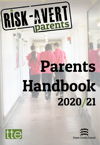

# Parents Handbook 2020/21



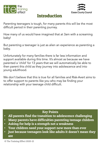



## Introduction

Parenting teenagers is tough, for many parents this will be the most difficult period in their parenting journey.

How many of us would have imagined that at 3am with a screaming baby!

But parenting a teenager is just as alien an experience as parenting a baby.

Unfortunately for many families there is far less information and support available during this time. It's almost as because we have parented a 'child' for 13 years that we will automatically be able to then parent this child as they journey into adolescence and into young adulthood.

We don't believe that this is true for all families and Risk-Avert aims to to offer support to parents like you who may be finding your relationship with your teenage child difficult.

- All parents find the transition to adolescence challenging
- Many parents have difficulties parenting teenage children
- Asking for help is a strength not a weakness
- Your children need your support now more than ever
- Just because teenagers look like adults it doesn't mean they are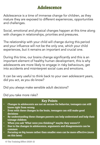# Adolescence

Adolescence is a time of immense change for children, as they mature they are exposed to different experiences, opportunities and challenges.

Social, emotional and physical changes happen at this time along with changes in relationships, priorities and pressures.

The relationship with your child will change during this period and your influence will not be the only one, which your child experiences, but it remains an important and crucial one.

During this time, our brains change significantly and this is an important element of healthy human development, this is why adolescents are more likely to engage in risky behaviours, get into accidents and misinterpret social cues and emotions.

It can be very useful to think back to your own adolescent years, did you act, as you do know?

Did you always make sensible adult decisions?

Did you take more risks?

- Changes in adolescents are not an excuse for behavior, teenagers can still know right from wrong
- Even with these changes in the brain, teenagers can still make good decisions
- By understanding these changes parents can help understand and help their teenage children
- When you ask 'What were you thinking?' maybe they weren't?
- Due to the changes in adolescence, arguments and disagreements can be common
- Focusing on big issues rather than smaller ones can be more effective (more on this later)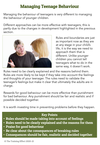# Managing Teenage Behaviour

Managing the behaviour of teenagers is very different to managing the behaviour of younger children.

Different approaches can be more effective with teenagers; this is partly due to the changes in development highlighted in the previous section.



Rules and boundaries are just as important now as they are at any stage in your child's life, it is the way we need to approach them that is different. Unlike younger children you cannot tell teenagers what to do in the same way, it doesn't work.

Rules need to be clearly explained and the reasons behind them. Rules are more likely to be kept if they take into account the feelings and thoughts of your teenager. The rules need to validate the teenager's feelings but make it clear that ultimately the adults are in charge.

Rewards for good behaviour can be more effective than punishment for bad behaviour. Any punishment should be fair and realistic and if possible decided together.

It is worth investing time in preventing problems before they happen.

- Rules should be made taking into account of feelings
- Rules need to be clearly explained and the reasons for them
- Praise for good behaviour
- Be clear about the consequences of breaking rules
- Consequences should be fair, realistic and decided together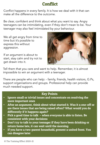# **Conflict**

Conflict happens in every family. It is how we deal with it that can make all the difference to the outcome.

Be clear, confident and think about what you want to say. Angry teenagers can be intimidating, even if they don't mean to be. Your teenager may also feel intimidated by your behaviour.

We all get angry from time to time but it's possible to express this without aggression.

If an argument is about to start, stay calm and try not to get drawn into it.



Tell them that you care and want to help. Remember, it is almost impossible to win an argument with a teenager.

There are people who can help: - family, friends, health visitors, G.Ps, support organisations and groups. Professional help can provide much needed support.

- Ignore small or trivial issues and concentrate on resolving the more important ones
- After an argument, think about what started it. Was it a one-off or are there issues that are being raised often? What would you do differently if it happens again?
- Pick a good time to talk when everyone is able to listen. Be consistent with your decisions
- Don't try to talk to your teenager if they have been drinking or return home late, it can wait until the morning
- If you have a two-parent household, present a united front. You can disagree later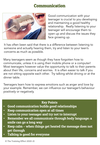## Communication



Good communication with your teenager is crucial to you developing and maintaining a good healthy relationship. Really listening to your teenager will encourage them to open up and discuss the issues they face growing up.

It has often been said that there is a difference between listening to someone and actually hearing them, try and listen to your teen's concerns as much as possible.

Many teenagers seem as though they have forgotten how to communicate, unless it is using their mobile phone or a computer! Most teenagers however value the opportunity to talk to their parents about their life, concerns and worries. It is often easier to talk if you are not sitting opposite each other. Try talking whilst driving or at the dinner table.

Teenagers learn how to express emotions such as anger and love by your example. Remember, we can influence our teenager's behaviour positively or negatively.

- Good communication builds good relationships
- Keep communication open at all times
- Listen to your teenager and try not to interrupt
- Remember we all communicate through body language; a smile can go a long way
- Keep calm when things get heated the message does not get through
- Talking is good for everyone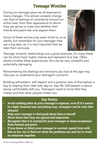# Teenage Worries

During our teenage years we all experience many changes. This almost constant change can lead to feelings of uncertainty around our entire lives, from their appearance to *whom* they are going to meet and whether their friends and peers like and respect them.

Some of these worries may seem trivial to us as adults, but remember for your teenager they are a big deal, so it is very important that we take them seriously.



Teenage romantic relationships are a good example, for many these can be short lived, highly intense and represent true loss. Often adults trivialise these experiences, this can be very unhelpful and potentially damaging.

Remembering the feelings and emotions you had at this age may help you to understand your teenager's concerns.

Building self-esteem, self respect and a positive view of themselves is key to helping them deal with day-to- day life. Self-esteem is about being comfortable with you. Teenagers need to know that they matter and that other people matter too.

- Avoid making jokes at your teenager's expense, even if it's meant in a light-hearted way and joking way, teenagers can be very thin skinned
- Help your teenager to feel good about him or herself
- Show them that they are special and important
- Recognise that it is normal for your teenager to want acceptance from friends and peers
- If you know or think your teenager is worried, spend time with him or her, try to find out what the problems are and try to work on solutions together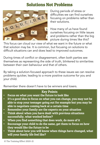# Solutions Not Problems



During periods of stress or difficulties we can find ourselves focusing on problems rather than their solutions.

How many of us have found ourselves focusing on little issues and problems rather than the big picture during times like this?

This focus can cloud our view of what we want in the future or what that solution may be. It is common, but focusing on solutions to difficult situations can and does lead to improved outcomes.

During times of conflict or disagreement, often both parties see themselves as representing the side of truth, blinkered to similarities between their own behaviour and that of others.

By taking a solution-focused approach to these issues we can resolve problems quicker, leading to a more positive outcome for you and your child.

Remember there doesn't have to be winners and losers.

- Focus on what you want the future to look like
- It's a good idea to focus on what you can change, you may not be able to stop your teenager going out for example but you may be able to negotiate coming back at a certain time
- Remember your family are the experts on your situation
- Think about when you have dealt with previous situations successfully, what worked before?
- When you find something that does work, do more of it
- Encourage your child to do the same, get them to focus on how they would like the future to be
- Think about how you will know when things have changed, what will your family life feel like?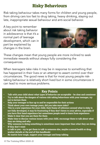# Risky Behaviours

Risk taking behaviour takes many forms for children and young people, from driving cars too fast to drug taking, heavy drinking, staying out late, inappropriate sexual behaviour and anti-social behavior.

A key point to remember about risk taking behavior in adolescence is that it's a normal part of teenage development, which can in part be explained by changes in the brain.



These changes mean that young people are more inclined to seek immediate rewards without always fully considering the consequences.

When teenagers take risks it may be in response to something that has happened in their lives or an attempt to assert control over their circumstances. The good news is that for most young people risktaking behaviour is relatively short lived but in some circumstances it can lead to more serious problems.

- Talk with your child about what types of behavior are acceptable be clear and consistent
- Try to talk about the dangers of various risk taking behaviours with your teenager, try not to lecture them
- Help your teenager to face up to and be responsible for their actions
- Think about your own teenage years, did you take more risks?
- This is a new experience for your child, their frame of reference around what is risky is not fully developed, it may be frustrating if they don't listen to your advice, especially if you have first hand experience but sometimes people need to learn from experience
- Make it clear that you are there for them
- Make time to discuss various issues with your child, encourage them to talk about what they are doing and why
- Why someone is doing something is sometimes more important than what they are doing
- If they don't want to talk to you – try to get them to talk to someone else, maybe a sexual health or drug worker (details at the end of this handbook)
- No matter how tough, support your teenager and keep talking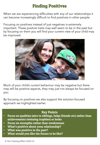# Finding Positives

When we are experiencing difficulties with any of our relationships it can become increasingly difficult to find positives in other people.

Focusing on positives instead of just negatives is extremely important. These positive traits may well seem to be in the past but by focusing on them you will find your current view of your child may be improved.



Much of your child's current behaviour may be negative but there may still be positive aspects, they may just not always be focused on you.

By focusing on positives we also support the solution-focused approach we highlighted earlier.

- Focus on qualities (nice to siblings, helps friends etc) rather than achievements (winning trophies) or looks
- Focus on strengths rather than weaknesses
- What's positive about your relationship?
- What was positive in the past?
- What would you like the future to be like?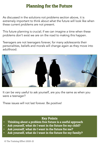# Planning for the Future

As discussed in the solutions not problems section above, it is extremely important to think about what the future will look like when these current problems are not present.

This future planning is crucial; if we can imagine a time when these problems don't exist we are on the road to making this happen.

Teenagers are not teenagers forever, for many adolescents their personalities, beliefs and morals will change again as they move into adulthood.



It can be very useful to ask yourself, are you the same as when you were a teenager?

These issues will not last forever. Be positive!

## Key Points

- Thinking about a problem free future is a useful approach
- Ask yourself, what do I want in the future for my child?
- Ask yourself, what do I want in the future for me?
- Ask yourself, what do I want in the future for my family?